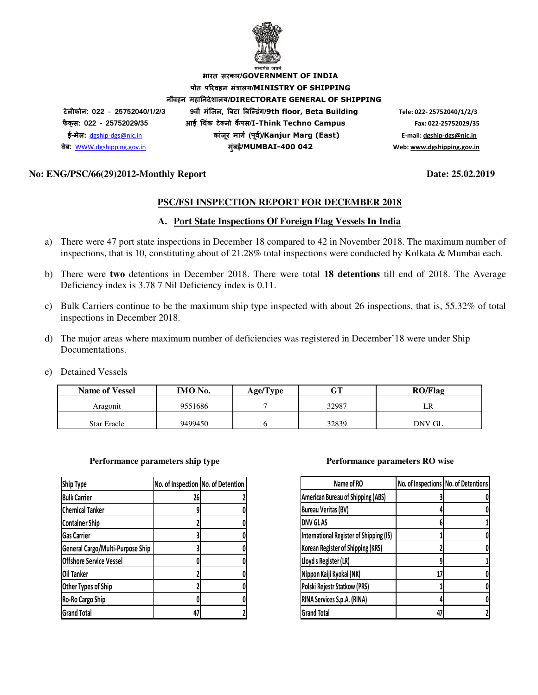

**भारत सरकार/GOVERNMENT OF INDIA पोत परवहन मंालय/MINISTRY OF SHIPPING नौवहन महानदेशालय/DIRECTORATE GENERAL OF SHIPPING टेलफोन: 022** – **25752040/1/2/3 9वीं मंिजल, )बटा )बि+डंग/9th floor, Beta Building Tele: 022- 25752040/1/2/3 फै क् स: 022 - 25752029/35 आई 3थक टे5 नो क ं 6पस/I-Think Techno Campus Fax: 022-25752029/35 ई-मेल:** dgship-dgs@nic.in **कांजर माग8 (प ू व8)/ ू Kanjur Marg (East) E-mail: dgship-dgs@nic.in वेब:** WWW.dgshipping.gov.in **मुंबई/MUMBAI-400 042 Web: www.dgshipping.gov.in**

## **No: ENG/PSC/66(29)2012-Monthly Report Date: 25.02.2019**

## **PSC/FSI INSPECTION REPORT FOR DECEMBER 2018**

## **A. Port State Inspections Of Foreign Flag Vessels In India**

- a) There were 47 port state inspections in December 18 compared to 42 in November 2018. The maximum number of inspections, that is 10, constituting about of 21.28% total inspections were conducted by Kolkata & Mumbai each.
- b) There were **two** detentions in December 2018. There were total **18 detentions** till end of 2018. The Average Deficiency index is 3.78 7 Nil Deficiency index is 0.11.
- c) Bulk Carriers continue to be the maximum ship type inspected with about 26 inspections, that is, 55.32% of total inspections in December 2018.
- d) The major areas where maximum number of deficiencies was registered in December'18 were under Ship Documentations.
- e) Detained Vessels

| <b>Name of Vessel</b> | IMO No. | Age/Type | $\cap$ Tr | <b>RO/Flag</b> |
|-----------------------|---------|----------|-----------|----------------|
| Aragonit              | 9551686 |          | 32987     |                |
| <b>Star Eracle</b>    | 9499450 |          | 32839     | DNV GL         |

### **Performance parameters ship type Performance parameters RO wise**

| <b>Ship Type</b>                 | No. of Inspection No. of Detention |  |
|----------------------------------|------------------------------------|--|
| <b>Bulk Carrier</b>              | 26                                 |  |
| <b>Chemical Tanker</b>           | 9                                  |  |
| <b>Container Ship</b>            |                                    |  |
| <b>Gas Carrier</b>               |                                    |  |
| General Cargo/Multi-Purpose Ship |                                    |  |
| <b>Offshore Service Vessel</b>   |                                    |  |
| Oil Tanker                       |                                    |  |
| Other Types of Ship              |                                    |  |
| Ro-Ro Cargo Ship                 |                                    |  |
| <b>Grand Total</b>               | 47                                 |  |

| Name of RO                               | No. of Inspections No. of Detentions |
|------------------------------------------|--------------------------------------|
| <b>American Bureau of Shipping (ABS)</b> |                                      |
| <b>Bureau Veritas (BV)</b>               |                                      |
| <b>DNV GLAS</b>                          |                                      |
| International Register of Shipping (IS)  |                                      |
| Korean Register of Shipping (KRS)        |                                      |
| Lloyd s Register (LR)                    |                                      |
| Nippon Kaiji Kyokai (NK)                 |                                      |
| Polski Rejestr Statkow (PRS)             |                                      |
| RINA Services S.p.A. (RINA)              |                                      |
| <b>Grand Total</b>                       |                                      |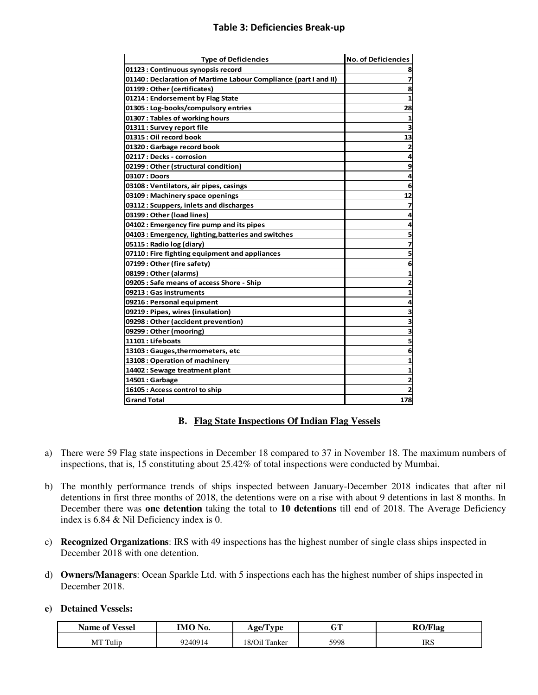## **Table 3: Deficiencies Break-up**

| <b>Type of Deficiencies</b>                                      | <b>No. of Deficiencies</b> |
|------------------------------------------------------------------|----------------------------|
| 01123 : Continuous synopsis record                               | 8                          |
| 01140 : Declaration of Martime Labour Compliance (part I and II) | $\overline{\mathbf{z}}$    |
| 01199: Other (certificates)                                      | 8                          |
| 01214 : Endorsement by Flag State                                | 1                          |
| 01305 : Log-books/compulsory entries                             | 28                         |
| 01307 : Tables of working hours                                  |                            |
| 01311 : Survey report file                                       | 3                          |
| 01315 : Oil record book                                          | 13                         |
| 01320 : Garbage record book                                      | $\overline{\mathbf{z}}$    |
| 02117 : Decks - corrosion                                        | 4                          |
| 02199 : Other (structural condition)                             | 9                          |
| 03107 : Doors                                                    | 4                          |
| 03108 : Ventilators, air pipes, casings                          | 6                          |
| 03109 : Machinery space openings                                 | 12                         |
| 03112 : Scuppers, inlets and discharges                          | 7                          |
| 03199: Other (load lines)                                        | 4                          |
| 04102 : Emergency fire pump and its pipes                        | 4                          |
| 04103 : Emergency, lighting, batteries and switches              | 5                          |
| 05115 : Radio log (diary)                                        | 7                          |
| 07110 : Fire fighting equipment and appliances                   | 5                          |
| 07199 : Other (fire safety)                                      | 6                          |
| 08199: Other (alarms)                                            | $\mathbf{1}$               |
| 09205 : Safe means of access Shore - Ship                        | $\overline{\mathbf{c}}$    |
| 09213 : Gas instruments                                          | 1                          |
| 09216 : Personal equipment                                       | 4                          |
| 09219: Pipes, wires (insulation)                                 | 3                          |
| 09298 : Other (accident prevention)                              | 3                          |
| 09299: Other (mooring)                                           | $\overline{\mathbf{3}}$    |
| 11101 : Lifeboats                                                | 5                          |
| 13103 : Gauges, thermometers, etc                                | 6                          |
| 13108 : Operation of machinery                                   | 1                          |
| 14402 : Sewage treatment plant                                   | 1                          |
| 14501 : Garbage                                                  | 2                          |
| 16105 : Access control to ship                                   | $\overline{2}$             |
| <b>Grand Total</b>                                               | 178                        |

## **B. Flag State Inspections Of Indian Flag Vessels**

- a) There were 59 Flag state inspections in December 18 compared to 37 in November 18. The maximum numbers of inspections, that is, 15 constituting about 25.42% of total inspections were conducted by Mumbai.
- b) The monthly performance trends of ships inspected between January-December 2018 indicates that after nil detentions in first three months of 2018, the detentions were on a rise with about 9 detentions in last 8 months. In December there was **one detention** taking the total to **10 detentions** till end of 2018. The Average Deficiency index is 6.84 & Nil Deficiency index is 0.
- c) **Recognized Organizations**: IRS with 49 inspections has the highest number of single class ships inspected in December 2018 with one detention.
- d) **Owners/Managers**: Ocean Sparkle Ltd. with 5 inspections each has the highest number of ships inspected in December 2018.

## **e) Detained Vessels:**

| P T<br>Name of<br>Vessel | IMO No. | ' vpe<br>$A$ ge/'   | αm<br>u ı | <b>RO/Flag</b> |
|--------------------------|---------|---------------------|-----------|----------------|
| MT Tulip                 | 9240914 | 18/Oil Ta<br>Tanker | 5998      | <b>IRS</b>     |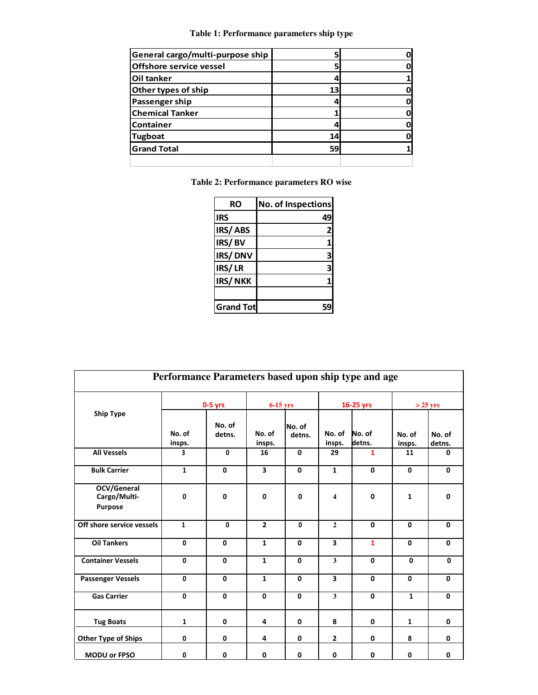**Table 1: Performance parameters ship type**

| General cargo/multi-purpose ship |    |  |
|----------------------------------|----|--|
| <b>Offshore service vessel</b>   |    |  |
| Oil tanker                       |    |  |
| Other types of ship              | 13 |  |
| Passenger ship                   |    |  |
| <b>Chemical Tanker</b>           |    |  |
| <b>Container</b>                 |    |  |
| <b>Tugboat</b>                   | 14 |  |
| <b>Grand Total</b>               | 59 |  |
|                                  |    |  |

**Table 2: Performance parameters RO wise** 

| RO               | <b>No. of Inspections</b> |
|------------------|---------------------------|
| <b>IRS</b>       | 49                        |
| IRS/ABS          | 2                         |
| IRS/BV           |                           |
| IRS/DNV          | 3                         |
| IRS/LR           |                           |
| IRS/NKK          |                           |
|                  |                           |
| <b>Grand Tot</b> |                           |

| Performance Parameters based upon ship type and age |                  |                  |                  |                  |                         |                  |                  |                  |
|-----------------------------------------------------|------------------|------------------|------------------|------------------|-------------------------|------------------|------------------|------------------|
|                                                     | $0-5$ yrs        |                  | $6-15$ yrs       |                  | 16-25 yrs               |                  | $>$ 25 yrs       |                  |
| <b>Ship Type</b>                                    | No. of<br>insps. | No. of<br>detns. | No. of<br>insps. | No. of<br>detns. | No. of<br>insps.        | No. of<br>detns. | No. of<br>insps. | No. of<br>detns. |
| <b>All Vessels</b>                                  | 3                | $\mathbf{0}$     | 16               | $\mathbf 0$      | 29                      | $\mathbf{1}$     | 11               | 0                |
| <b>Bulk Carrier</b>                                 | $\mathbf{1}$     | 0                | 3                | $\mathbf 0$      | $\mathbf{1}$            | $\mathbf 0$      | $\mathbf 0$      | 0                |
| OCV/General<br>Cargo/Multi-<br><b>Purpose</b>       | 0                | 0                | 0                | 0                | 4                       | 0                | $\mathbf 1$      | 0                |
| Off shore service vessels                           | $\mathbf{1}$     | $\mathbf{0}$     | $\overline{2}$   | 0                | $\overline{2}$          | $\mathbf 0$      | $\mathbf{0}$     | $\mathbf{0}$     |
| <b>Oil Tankers</b>                                  | $\mathbf{0}$     | 0                | $\mathbf{1}$     | $\mathbf 0$      | $\overline{\mathbf{3}}$ | $\mathbf{1}$     | $\mathbf{0}$     | $\mathbf{0}$     |
| <b>Container Vessels</b>                            | $\mathbf 0$      | $\mathbf{0}$     | $\mathbf{1}$     | 0                | $\overline{\mathbf{3}}$ | $\mathbf{0}$     | $\mathbf{0}$     | 0                |
| <b>Passenger Vessels</b>                            | $\mathbf 0$      | 0                | $\mathbf{1}$     | $\mathbf 0$      | 3                       | 0                | 0                | $\mathbf 0$      |
| <b>Gas Carrier</b>                                  | $\mathbf 0$      | $\mathbf 0$      | 0                | 0                | $\mathbf{3}$            | $\mathbf{0}$     | $\mathbf{1}$     | $\mathbf{0}$     |
| <b>Tug Boats</b>                                    | $\mathbf{1}$     | 0                | 4                | $\mathbf 0$      | 8                       | 0                | $\mathbf{1}$     | 0                |
| <b>Other Type of Ships</b>                          | $\mathbf 0$      | 0                | 4                | $\mathbf 0$      | $\mathbf{2}$            | 0                | 8                | 0                |
| <b>MODU or FPSO</b>                                 | 0                | 0                | 0                | 0                | 0                       | 0                | 0                | 0                |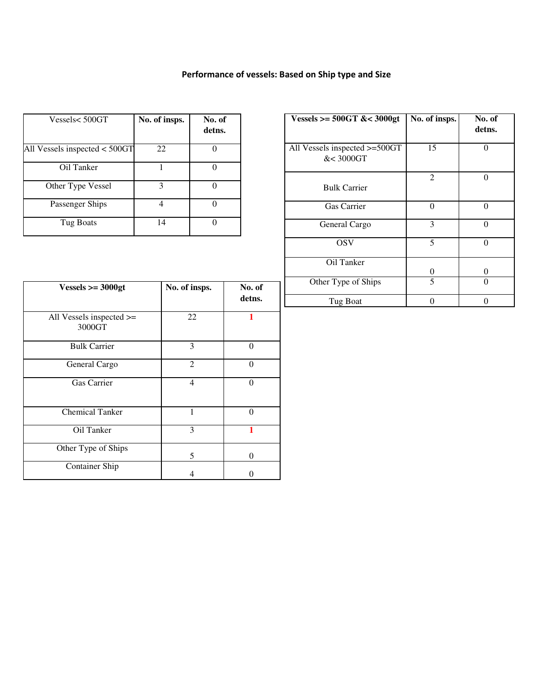# **Performance of vessels: Based on Ship type and Size**

| Vessels< 500GT                | No. of insps. | No. of<br>detns. |
|-------------------------------|---------------|------------------|
| All Vessels inspected < 500GT | 22            |                  |
| Oil Tanker                    |               |                  |
| Other Type Vessel             | 3             |                  |
| Passenger Ships               |               |                  |
| Tug Boats                     | 14            |                  |

| Vessels >= $500GT$ &< $3000gt$             | No. of insps. | No. of<br>detns. |
|--------------------------------------------|---------------|------------------|
| All Vessels inspected >=500GT<br>&< 3000GT | 15            |                  |
| <b>Bulk Carrier</b>                        | 2             | 0                |
| <b>Gas Carrier</b>                         | 0             | 0                |
| General Cargo                              | 3             | 0                |
| <b>OSV</b>                                 | 5             | 0                |
| Oil Tanker                                 | 0             | 0                |
| Other Type of Ships                        | 5             |                  |
| Tug Boat                                   |               |                  |

| $Vessels >= 3000gt$                     | No. of insps. | No. of<br>detns. |
|-----------------------------------------|---------------|------------------|
| All Vessels inspected $\ge$ =<br>3000GT | 22            |                  |
| <b>Bulk Carrier</b>                     | 3             | $\Omega$         |
| General Cargo                           | 2             | $\Omega$         |
| Gas Carrier                             | 4             | $\Omega$         |
| <b>Chemical Tanker</b>                  |               | $\mathcal{O}$    |
| Oil Tanker                              | 3             |                  |
| Other Type of Ships                     | 5             | 0                |
| <b>Container Ship</b>                   | 4             |                  |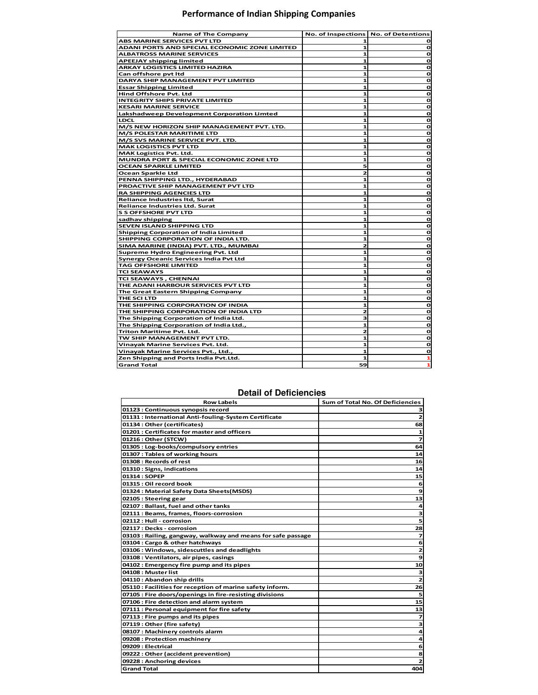## **Performance of Indian Shipping Companies**

| Name of The Company                           | No. of Inspections No. of Detentions |             |
|-----------------------------------------------|--------------------------------------|-------------|
| ABS MARINE SERVICES PVT LTD                   |                                      |             |
| ADANI PORTS AND SPECIAL ECONOMIC ZONE LIMITED | 1                                    | o           |
| <b>ALBATROSS MARINE SERVICES</b>              | 1                                    | o           |
| <b>APEEJAY shipping limited</b>               | 1                                    | $\mathbf o$ |
| <b>ARKAY LOGISTICS LIMITED HAZIRA</b>         | 1                                    | o           |
| Can offshore pvt Itd                          | 1                                    | o           |
| DARYA SHIP MANAGEMENT PVT LIMITED             | 1                                    | o           |
| <b>Essar Shipping Limited</b>                 | 1                                    | o           |
| Hind Offshore Pvt. Ltd                        | 1                                    | O           |
| <b>INTEGRITY SHIPS PRIVATE LIMITED</b>        | 1                                    | o           |
| <b>KESARI MARINE SERVICE</b>                  | 1                                    | $\mathbf o$ |
| Lakshadweep Development Corporation Limted    | 1                                    | o           |
| <b>LDCL</b>                                   | 1                                    | o           |
| M/S NEW HORIZON SHIP MANAGEMENT PVT. LTD.     | 1                                    | O           |
| <b>M/S POLESTAR MARITIME LTD</b>              | 1                                    | o           |
| M/S SVS MARINE SERVICE PVT. LTD.              | 1                                    | o           |
| <b>MAK LOGISTICS PVT LTD</b>                  | 1                                    | o           |
| <b>MAK Logistics Pvt. Ltd.</b>                | 1                                    | o           |
| MUNDRA PORT & SPECIAL ECONOMIC ZONE LTD       | 1                                    | o           |
| <b>OCEAN SPARKLE LIMITED</b>                  | 5                                    | O           |
| Ocean Sparkle Ltd                             | 2                                    | o           |
| PENNA SHIPPING LTD., HYDERABAD                | 1                                    | O           |
| PROACTIVE SHIP MANAGEMENT PVT LTD             | 1                                    | o           |
| <b>RA SHIPPING AGENCIES LTD</b>               | 1                                    | O           |
| <b>Reliance Industries Itd, Surat</b>         | 1                                    | o           |
| <b>Reliance Industries Ltd. Surat</b>         | 1                                    | o           |
| <b>S S OFFSHORE PVT LTD</b>                   | 1                                    | o           |
| sadhav shipping                               | 1                                    | o           |
| SEVEN ISLAND SHIPPING LTD                     | 1                                    | O           |
| <b>Shipping Corporation of India Limited</b>  | 1                                    | o           |
| SHIPPING CORPORATION OF INDIA LTD.            | 1                                    | o           |
| SIMA MARINE (INDIA) PVT. LTD., MUMBAI         | 2                                    | o           |
| <b>Supreme Hydro Engineering Pvt. Ltd</b>     | 1                                    | O           |
| <b>Synergy Oceanic Services India Pvt Ltd</b> | 1                                    | o           |
| <b>TAG OFFSHORE LIMITED</b>                   | 1                                    | o           |
| <b>TCI SEAWAYS</b>                            | 1                                    | o           |
| TCI SEAWAYS, CHENNAI                          | 1                                    | o           |
| THE ADANI HARBOUR SERVICES PVT LTD            | 1                                    | o           |
| The Great Eastern Shipping Company            | 1                                    | o           |
| THE SCI LTD                                   | 1                                    | o           |
| THE SHIPPING CORPORATION OF INDIA             | 1                                    | o           |
| THE SHIPPING CORPORATION OF INDIA LTD         | 2                                    | o           |
| The Shipping Corporation of India Ltd.        | з                                    | o           |
| The Shipping Corporation of India Ltd.,       | 1                                    | O           |
| Triton Maritime Pvt. Ltd.                     | 2                                    | o           |
| TW SHIP MANAGEMENT PVT LTD.                   | 1                                    | o           |
| Vinayak Marine Services Pvt. Ltd.             | 1                                    | o           |
| Vinayak Marine Services Pvt., Ltd.,           | 1                                    | o           |
| Zen Shipping and Ports India Pvt.Ltd.         | 1                                    | 1           |
| <b>Grand Total</b>                            | 59                                   | 1           |

## **Detail of Deficiencies**

| <b>Row Labels</b>                                            | Sum of Total No. Of Deficiencies |
|--------------------------------------------------------------|----------------------------------|
| 01123 : Continuous synopsis record                           | з                                |
| 01131 : International Anti-fouling-System Certificate        | $\mathbf{z}$                     |
| 01134 : Other (certificates)                                 | 68                               |
| 01201 : Certificates for master and officers                 | $\mathbf{1}$                     |
| 01216 : Other (STCW)                                         | $\overline{z}$                   |
| 01305 : Log-books/compulsory entries                         | 64                               |
| 01307 : Tables of working hours                              | 14                               |
| 01308 : Records of rest                                      | 16                               |
| 01310: Signs, indications                                    | 14                               |
| 01314 : SOPEP                                                | 15                               |
| 01315 : Oil record book                                      | 6                                |
| 01324 : Material Safety Data Sheets(MSDS)                    | 9                                |
| 02105 : Steering gear                                        | 13                               |
| 02107 : Ballast, fuel and other tanks                        | $\overline{a}$                   |
| 02111 : Beams, frames, floors-corrosion                      | з                                |
| 02112 : Hull - corrosion                                     | 5                                |
| 02117 : Decks - corrosion                                    | 28                               |
| 03103 : Railing, gangway, walkway and means for safe passage | 7                                |
| 03104 : Cargo & other hatchways                              | 6                                |
| 03106 : Windows, sidescuttles and deadlights                 | $\overline{\mathbf{z}}$          |
| 03108 : Ventilators, air pipes, casings                      | 9                                |
| 04102 : Emergency fire pump and its pipes                    | 10                               |
| 04108 : Muster list                                          | з                                |
| 04110: Abandon ship drills                                   | $\mathbf{z}$                     |
| 05110 : Facilities for reception of marine safety inform.    | 26                               |
| 07105 : Fire doors/openings in fire-resisting divisions      | 5                                |
| 07106 : Fire detection and alarm system                      | 15                               |
| 07111 : Personal equipment for fire safety                   | 13                               |
| 07113 : Fire pumps and its pipes                             | $\overline{\mathbf{z}}$          |
| 07119: Other (fire safety)                                   | 3                                |
| 08107 : Machinery controls alarm                             | 4                                |
| 09208 : Protection machinery                                 | $\overline{\mathbf{a}}$          |
| 09209 : Electrical                                           | 6                                |
| 09222 : Other (accident prevention)                          | 8                                |
| 09228 : Anchoring devices                                    | $\overline{\mathbf{z}}$          |
| <b>Grand Total</b>                                           | 404                              |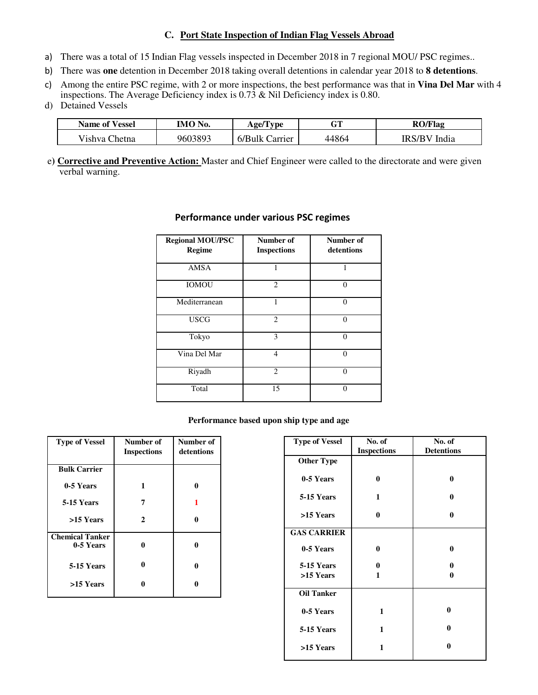## **C. Port State Inspection of Indian Flag Vessels Abroad**

- a) There was a total of 15 Indian Flag vessels inspected in December 2018 in 7 regional MOU/ PSC regimes..
- b) There was **one** detention in December 2018 taking overall detentions in calendar year 2018 to **8 detentions**.
- c) Among the entire PSC regime, with 2 or more inspections, the best performance was that in **Vina Del Mar** with 4 inspections. The Average Deficiency index is 0.73 & Nil Deficiency index is 0.80.
- d) Detained Vessels

| <b>Name of Vessel</b> | IMO No. | Age/Type           | мT    | <b>RO/Flag</b> |
|-----------------------|---------|--------------------|-------|----------------|
| Vishva<br>`hetna      | 9603893 | 6/BulkC<br>Carrier | 44864 | IRS/BV India   |

e**) Corrective and Preventive Action:** Master and Chief Engineer were called to the directorate and were given verbal warning.

| <b>Regional MOU/PSC</b><br><b>Regime</b> | Number of<br><b>Inspections</b> | Number of<br>detentions |
|------------------------------------------|---------------------------------|-------------------------|
| <b>AMSA</b>                              |                                 |                         |
| <b>IOMOU</b>                             | $\overline{c}$                  | $\Omega$                |
| Mediterranean                            |                                 | 0                       |
| <b>USCG</b>                              | $\overline{2}$                  | $\Omega$                |
| Tokyo                                    | 3                               | 0                       |
| Vina Del Mar                             | $\overline{4}$                  | $\Omega$                |
| Riyadh                                   | $\mathfrak{D}$                  | $\Omega$                |
| Total                                    | 15                              | $\Omega$                |

## **Performance under various PSC regimes**

## **Performance based upon ship type and age**

| <b>Type of Vessel</b>               | Number of<br><b>Inspections</b> | Number of<br>detentions |
|-------------------------------------|---------------------------------|-------------------------|
| <b>Bulk Carrier</b>                 |                                 |                         |
| 0-5 Years                           | 1                               | 0                       |
| 5-15 Years                          | 7                               | 1                       |
| >15 Years                           | $\mathbf{2}$                    | 0                       |
| <b>Chemical Tanker</b><br>0-5 Years | 0                               | 0                       |
| 5-15 Years                          | 0                               | 0                       |
| >15 Years                           |                                 |                         |

| <b>Type of Vessel</b> | No. of             | No. of            |
|-----------------------|--------------------|-------------------|
|                       | <b>Inspections</b> | <b>Detentions</b> |
| <b>Other Type</b>     |                    |                   |
| 0-5 Years             | 0                  | 0                 |
| 5-15 Years            | $\mathbf{1}$       | 0                 |
| >15 Years             | 0                  | $\bf{0}$          |
| <b>GAS CARRIER</b>    |                    |                   |
| 0-5 Years             | 0                  | 0                 |
| <b>5-15 Years</b>     | 0                  | 0                 |
| >15 Years             | 1                  | 0                 |
| <b>Oil Tanker</b>     |                    |                   |
| 0-5 Years             | 1                  | $\bf{0}$          |
| 5-15 Years            | 1                  | $\bf{0}$          |
| >15 Years             | 1                  | $\bf{0}$          |